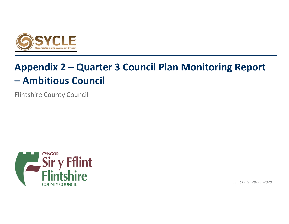

# **Appendix 2 – Quarter 3 Council Plan Monitoring Report – Ambitious Council**

Flintshire County Council



*Print Date: 28-Jan-2020*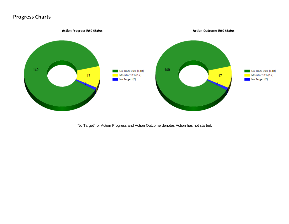## **Progress Charts**



'No Target' for Action Progress and Action Outcome denotes Action has not started.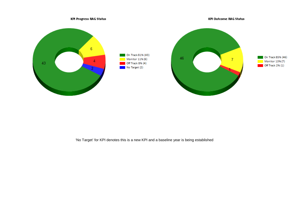

'No Target' for KPI denotes this is a new KPI and a baseline year is being established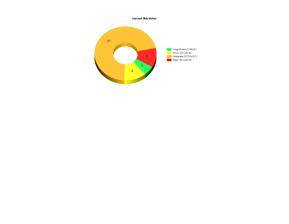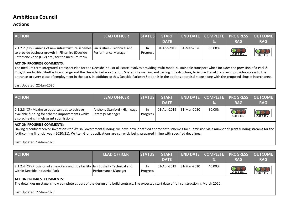## **Ambitious Council**

### **Actions**

| <b>ACTION</b>                                                                                                                                                                                          | <b>LEAD OFFICER</b> | <b>STATUS</b>  | <b>START</b><br><b>DATE</b> |             | <b>END DATE COMPLETE</b><br>% | <b>PROGRESS</b><br><b>RAG</b>    | <b>OUTCOME</b><br><b>RAG</b> |  |
|--------------------------------------------------------------------------------------------------------------------------------------------------------------------------------------------------------|---------------------|----------------|-----------------------------|-------------|-------------------------------|----------------------------------|------------------------------|--|
| 2.1.2.2 (CP) Planning of new infrastructure schemes   Ian Bushell - Technical and<br>to provide business growth in Flintshire (Deeside<br>Enterprise Zone (DEZ) etc.) for the medium-term              | Performance Manager | In<br>Progress | 01-Apr-2019                 | 31-Mar-2020 | 30.00%                        | $\overline{\mathbf{O}}$<br>GREEN | <b>OOO</b><br>GREEN          |  |
| ACTION PROGRESS COMMENTS:<br>The medium term Integrated Transport Plan for the Deeside Industrial Estate involves providing multi model sustainable transport which includes the provision of a Park & |                     |                |                             |             |                               |                                  |                              |  |

Ride/Share facility, Shuttle Interchange and the Deeside Parkway Station. Shared use walking and cycling infrastructure, to Active Travel Standards, provides access to the entrance to every place of employment in the park. In addition to this, Deeside Parkway Station is in the options appraisal stage along with the proposed shuttle interchange.

Last Updated: 22-Jan-2020

| <b>ACTION</b>                                                                                                                                 | <b>LEAD OFFICER</b>                                    | <b>STATUS</b>  | <b>START</b><br><b>DATE</b> |                         | $\%$   | <b>END DATE COMPLETE PROGRESS OUTCOME</b><br><b>RAG</b> | <b>RAG</b> |
|-----------------------------------------------------------------------------------------------------------------------------------------------|--------------------------------------------------------|----------------|-----------------------------|-------------------------|--------|---------------------------------------------------------|------------|
| 2.1.2.3 (CP) Maximise opportunities to achieve<br>available funding for scheme improvements whilst<br>also achieving timely grant submissions | Anthony Stanford - Highways<br><b>Strategy Manager</b> | In<br>Progress |                             | 01-Apr-2019 31-Mar-2020 | 80.00% | GREEN                                                   | GREEN      |

#### **ACTION PROGRESS COMMENTS:**

Having recently received invitations for Welsh Government funding, we have now identified appropriate schemes for submission via a number of grant funding streams for the forthcoming financial year (2020/21). Written Grant applications are currently being prepared in line with specified deadlines.

Last Updated: 14-Jan-2020

| <b>ACTION</b>                                                                                                        | <b>LEAD OFFICER</b> | <b>STATUS</b>   | <b>START</b><br><b>DATE</b> |             | ℅      | <b>END DATE COMPLETE PROGRESS OUTCOME</b><br><b>RAG</b> | <b>RAG</b> |
|----------------------------------------------------------------------------------------------------------------------|---------------------|-----------------|-----------------------------|-------------|--------|---------------------------------------------------------|------------|
| 2.1.2.4 (CP) Provision of a new Park and ride facility lan Bushell - Technical and<br>within Deeside Industrial Park | Performance Manager | In.<br>Progress | 01-Apr-2019                 | 31-Mar-2020 | 40.00% | GREEN                                                   | GREEN      |

#### **ACTION PROGRESS COMMENTS:**

The detail design stage is now complete as part of the design and build contract. The expected start date of full construction is March 2020.

Last Updated: 22-Jan-2020